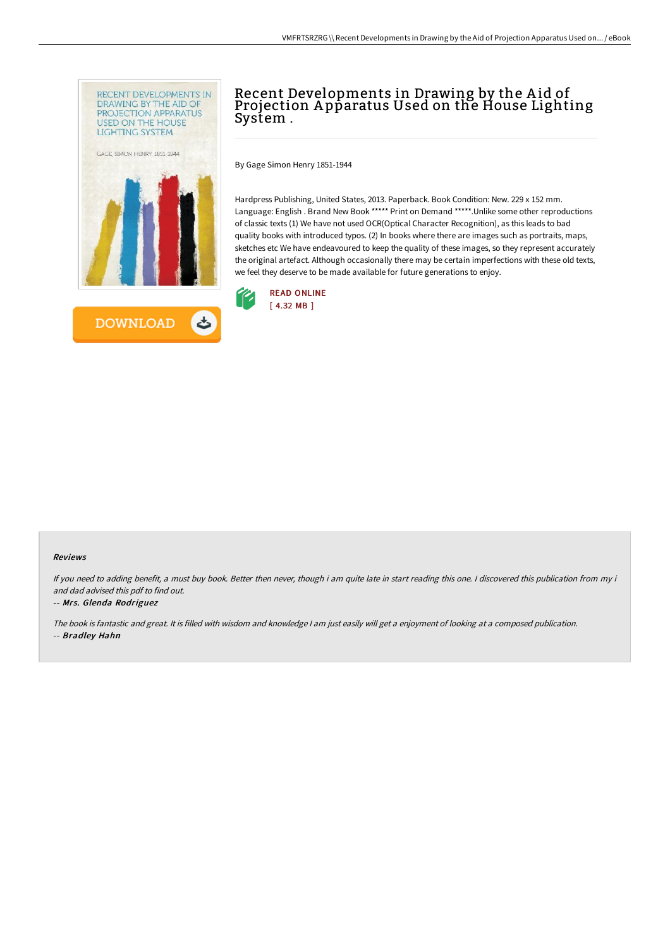



# Recent Developments in Drawing by the A id of Projection A pparatus Used on the House Lighting System .

By Gage Simon Henry 1851-1944

Hardpress Publishing, United States, 2013. Paperback. Book Condition: New. 229 x 152 mm. Language: English . Brand New Book \*\*\*\*\* Print on Demand \*\*\*\*\*.Unlike some other reproductions of classic texts (1) We have not used OCR(Optical Character Recognition), as this leads to bad quality books with introduced typos. (2) In books where there are images such as portraits, maps, sketches etc We have endeavoured to keep the quality of these images, so they represent accurately the original artefact. Although occasionally there may be certain imperfections with these old texts, we feel they deserve to be made available for future generations to enjoy.



#### Reviews

If you need to adding benefit, <sup>a</sup> must buy book. Better then never, though i am quite late in start reading this one. <sup>I</sup> discovered this publication from my i and dad advised this pdf to find out.

#### -- Mrs. Glenda Rodriguez

The book is fantastic and great. It is filled with wisdom and knowledge <sup>I</sup> am just easily will get <sup>a</sup> enjoyment of looking at <sup>a</sup> composed publication. -- Bradley Hahn